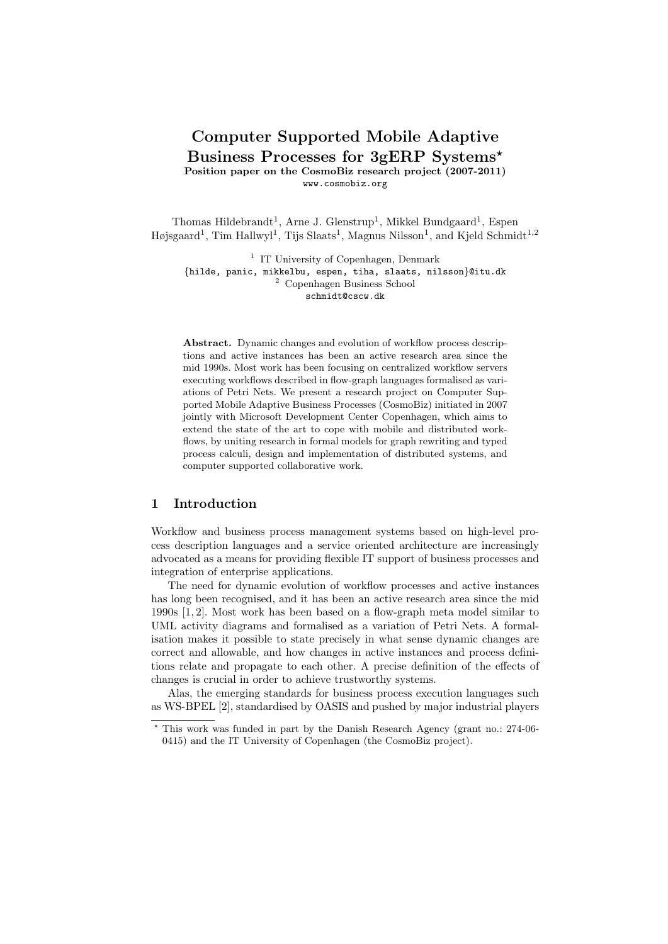# Computer Supported Mobile Adaptive Business Processes for 3gERP Systems? Position paper on the CosmoBiz research project (2007-2011)

www.cosmobiz.org

Thomas Hildebrandt<sup>1</sup>, Arne J. Glenstrup<sup>1</sup>, Mikkel Bundgaard<sup>1</sup>, Espen Højsgaard<sup>1</sup>, Tim Hallwyl<sup>1</sup>, Tijs Slaats<sup>1</sup>, Magnus Nilsson<sup>1</sup>, and Kjeld Schmidt<sup>1,2</sup>

<sup>1</sup> IT University of Copenhagen, Denmark {hilde, panic, mikkelbu, espen, tiha, slaats, nilsson}@itu.dk <sup>2</sup> Copenhagen Business School schmidt@cscw.dk

Abstract. Dynamic changes and evolution of workflow process descriptions and active instances has been an active research area since the mid 1990s. Most work has been focusing on centralized workflow servers executing workflows described in flow-graph languages formalised as variations of Petri Nets. We present a research project on Computer Supported Mobile Adaptive Business Processes (CosmoBiz) initiated in 2007 jointly with Microsoft Development Center Copenhagen, which aims to extend the state of the art to cope with mobile and distributed workflows, by uniting research in formal models for graph rewriting and typed process calculi, design and implementation of distributed systems, and computer supported collaborative work.

## 1 Introduction

Workflow and business process management systems based on high-level process description languages and a service oriented architecture are increasingly advocated as a means for providing flexible IT support of business processes and integration of enterprise applications.

The need for dynamic evolution of workflow processes and active instances has long been recognised, and it has been an active research area since the mid 1990s [1, 2]. Most work has been based on a flow-graph meta model similar to UML activity diagrams and formalised as a variation of Petri Nets. A formalisation makes it possible to state precisely in what sense dynamic changes are correct and allowable, and how changes in active instances and process definitions relate and propagate to each other. A precise definition of the effects of changes is crucial in order to achieve trustworthy systems.

Alas, the emerging standards for business process execution languages such as WS-BPEL [2], standardised by OASIS and pushed by major industrial players

<sup>?</sup> This work was funded in part by the Danish Research Agency (grant no.: 274-06- 0415) and the IT University of Copenhagen (the CosmoBiz project).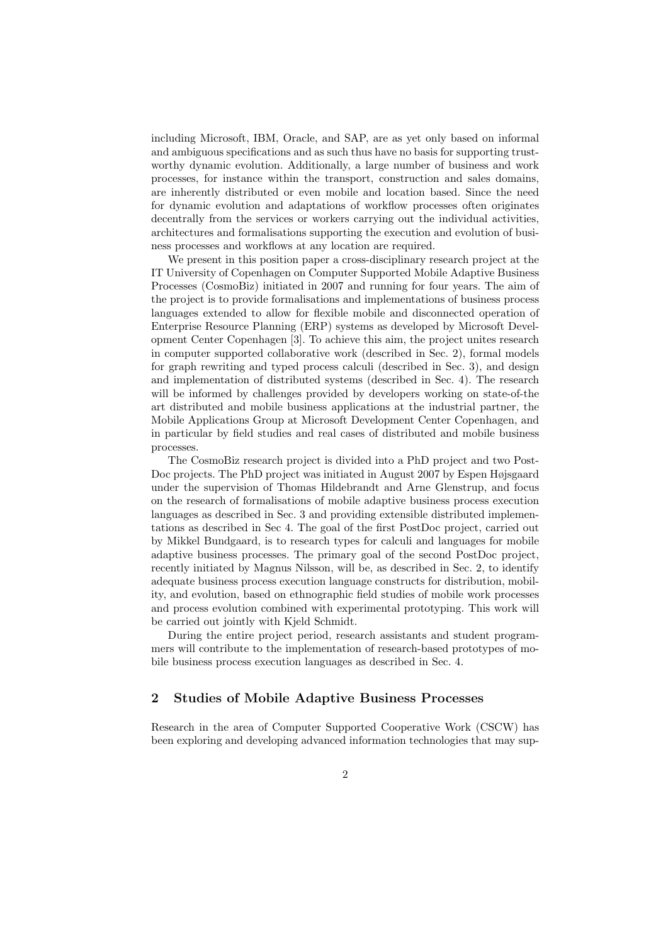including Microsoft, IBM, Oracle, and SAP, are as yet only based on informal and ambiguous specifications and as such thus have no basis for supporting trustworthy dynamic evolution. Additionally, a large number of business and work processes, for instance within the transport, construction and sales domains, are inherently distributed or even mobile and location based. Since the need for dynamic evolution and adaptations of workflow processes often originates decentrally from the services or workers carrying out the individual activities, architectures and formalisations supporting the execution and evolution of business processes and workflows at any location are required.

We present in this position paper a cross-disciplinary research project at the IT University of Copenhagen on Computer Supported Mobile Adaptive Business Processes (CosmoBiz) initiated in 2007 and running for four years. The aim of the project is to provide formalisations and implementations of business process languages extended to allow for flexible mobile and disconnected operation of Enterprise Resource Planning (ERP) systems as developed by Microsoft Development Center Copenhagen [3]. To achieve this aim, the project unites research in computer supported collaborative work (described in Sec. 2), formal models for graph rewriting and typed process calculi (described in Sec. 3), and design and implementation of distributed systems (described in Sec. 4). The research will be informed by challenges provided by developers working on state-of-the art distributed and mobile business applications at the industrial partner, the Mobile Applications Group at Microsoft Development Center Copenhagen, and in particular by field studies and real cases of distributed and mobile business processes.

The CosmoBiz research project is divided into a PhD project and two Post-Doc projects. The PhD project was initiated in August 2007 by Espen Højsgaard under the supervision of Thomas Hildebrandt and Arne Glenstrup, and focus on the research of formalisations of mobile adaptive business process execution languages as described in Sec. 3 and providing extensible distributed implementations as described in Sec 4. The goal of the first PostDoc project, carried out by Mikkel Bundgaard, is to research types for calculi and languages for mobile adaptive business processes. The primary goal of the second PostDoc project, recently initiated by Magnus Nilsson, will be, as described in Sec. 2, to identify adequate business process execution language constructs for distribution, mobility, and evolution, based on ethnographic field studies of mobile work processes and process evolution combined with experimental prototyping. This work will be carried out jointly with Kjeld Schmidt.

During the entire project period, research assistants and student programmers will contribute to the implementation of research-based prototypes of mobile business process execution languages as described in Sec. 4.

## 2 Studies of Mobile Adaptive Business Processes

Research in the area of Computer Supported Cooperative Work (CSCW) has been exploring and developing advanced information technologies that may sup-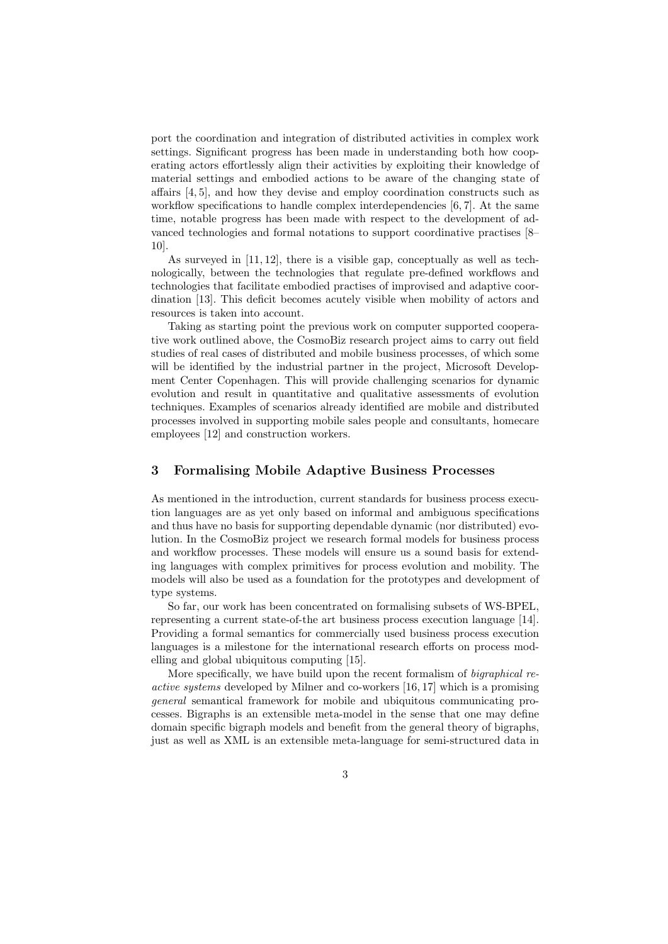port the coordination and integration of distributed activities in complex work settings. Significant progress has been made in understanding both how cooperating actors effortlessly align their activities by exploiting their knowledge of material settings and embodied actions to be aware of the changing state of affairs [4, 5], and how they devise and employ coordination constructs such as workflow specifications to handle complex interdependencies [6, 7]. At the same time, notable progress has been made with respect to the development of advanced technologies and formal notations to support coordinative practises [8– 10].

As surveyed in [11, 12], there is a visible gap, conceptually as well as technologically, between the technologies that regulate pre-defined workflows and technologies that facilitate embodied practises of improvised and adaptive coordination [13]. This deficit becomes acutely visible when mobility of actors and resources is taken into account.

Taking as starting point the previous work on computer supported cooperative work outlined above, the CosmoBiz research project aims to carry out field studies of real cases of distributed and mobile business processes, of which some will be identified by the industrial partner in the project, Microsoft Development Center Copenhagen. This will provide challenging scenarios for dynamic evolution and result in quantitative and qualitative assessments of evolution techniques. Examples of scenarios already identified are mobile and distributed processes involved in supporting mobile sales people and consultants, homecare employees [12] and construction workers.

#### 3 Formalising Mobile Adaptive Business Processes

As mentioned in the introduction, current standards for business process execution languages are as yet only based on informal and ambiguous specifications and thus have no basis for supporting dependable dynamic (nor distributed) evolution. In the CosmoBiz project we research formal models for business process and workflow processes. These models will ensure us a sound basis for extending languages with complex primitives for process evolution and mobility. The models will also be used as a foundation for the prototypes and development of type systems.

So far, our work has been concentrated on formalising subsets of WS-BPEL, representing a current state-of-the art business process execution language [14]. Providing a formal semantics for commercially used business process execution languages is a milestone for the international research efforts on process modelling and global ubiquitous computing [15].

More specifically, we have build upon the recent formalism of bigraphical reactive systems developed by Milner and co-workers [16, 17] which is a promising general semantical framework for mobile and ubiquitous communicating processes. Bigraphs is an extensible meta-model in the sense that one may define domain specific bigraph models and benefit from the general theory of bigraphs, just as well as XML is an extensible meta-language for semi-structured data in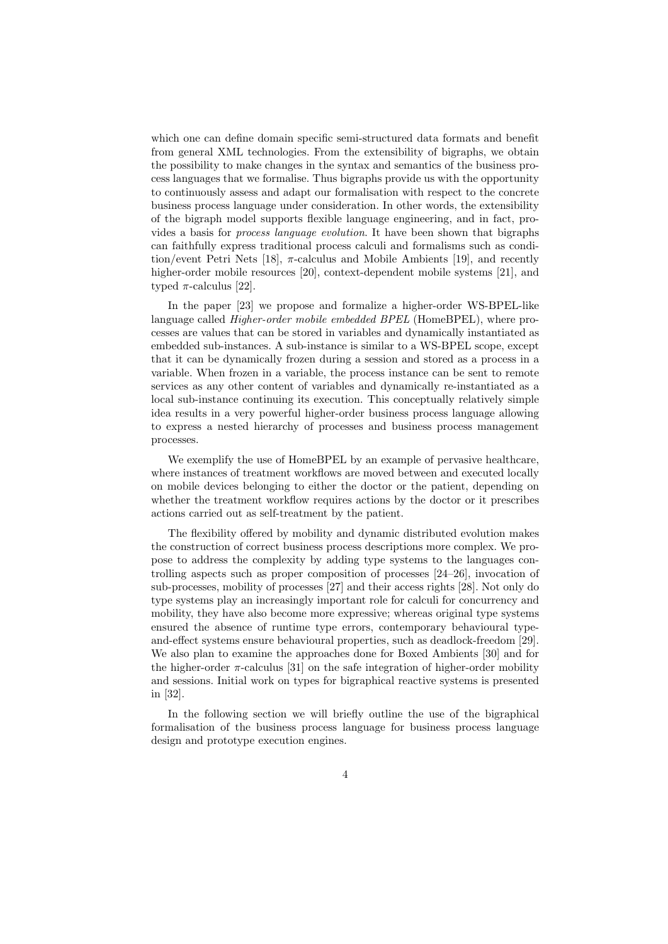which one can define domain specific semi-structured data formats and benefit from general XML technologies. From the extensibility of bigraphs, we obtain the possibility to make changes in the syntax and semantics of the business process languages that we formalise. Thus bigraphs provide us with the opportunity to continuously assess and adapt our formalisation with respect to the concrete business process language under consideration. In other words, the extensibility of the bigraph model supports flexible language engineering, and in fact, provides a basis for process language evolution. It have been shown that bigraphs can faithfully express traditional process calculi and formalisms such as condition/event Petri Nets [18],  $\pi$ -calculus and Mobile Ambients [19], and recently higher-order mobile resources [20], context-dependent mobile systems [21], and typed  $\pi$ -calculus [22].

In the paper [23] we propose and formalize a higher-order WS-BPEL-like language called Higher-order mobile embedded BPEL (HomeBPEL), where processes are values that can be stored in variables and dynamically instantiated as embedded sub-instances. A sub-instance is similar to a WS-BPEL scope, except that it can be dynamically frozen during a session and stored as a process in a variable. When frozen in a variable, the process instance can be sent to remote services as any other content of variables and dynamically re-instantiated as a local sub-instance continuing its execution. This conceptually relatively simple idea results in a very powerful higher-order business process language allowing to express a nested hierarchy of processes and business process management processes.

We exemplify the use of HomeBPEL by an example of pervasive healthcare. where instances of treatment workflows are moved between and executed locally on mobile devices belonging to either the doctor or the patient, depending on whether the treatment workflow requires actions by the doctor or it prescribes actions carried out as self-treatment by the patient.

The flexibility offered by mobility and dynamic distributed evolution makes the construction of correct business process descriptions more complex. We propose to address the complexity by adding type systems to the languages controlling aspects such as proper composition of processes [24–26], invocation of sub-processes, mobility of processes [27] and their access rights [28]. Not only do type systems play an increasingly important role for calculi for concurrency and mobility, they have also become more expressive; whereas original type systems ensured the absence of runtime type errors, contemporary behavioural typeand-effect systems ensure behavioural properties, such as deadlock-freedom [29]. We also plan to examine the approaches done for Boxed Ambients [30] and for the higher-order  $\pi$ -calculus [31] on the safe integration of higher-order mobility and sessions. Initial work on types for bigraphical reactive systems is presented in [32].

In the following section we will briefly outline the use of the bigraphical formalisation of the business process language for business process language design and prototype execution engines.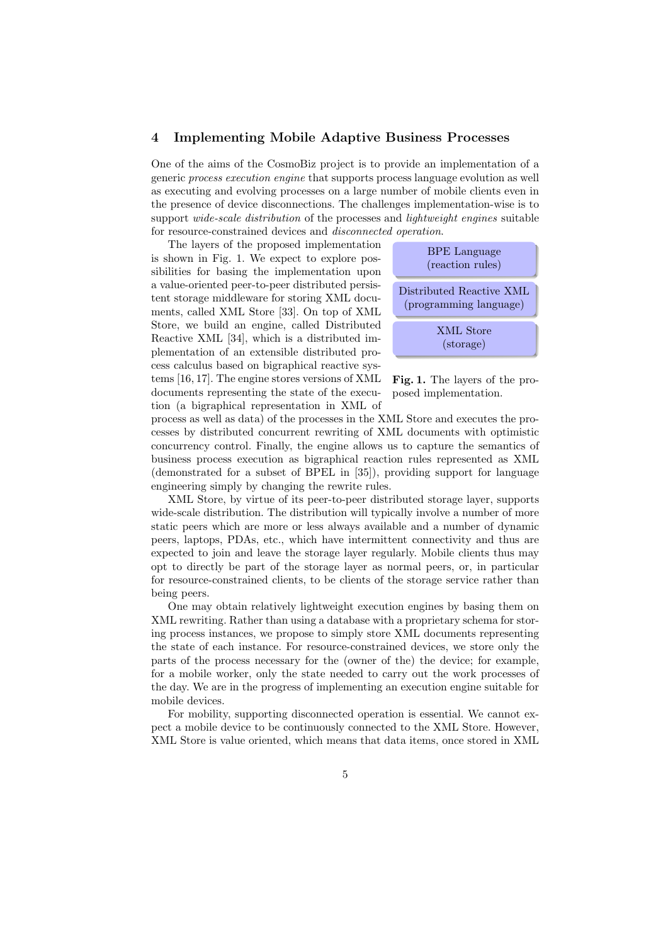#### 4 Implementing Mobile Adaptive Business Processes

One of the aims of the CosmoBiz project is to provide an implementation of a generic process execution engine that supports process language evolution as well as executing and evolving processes on a large number of mobile clients even in the presence of device disconnections. The challenges implementation-wise is to support *wide-scale distribution* of the processes and *lightweight engines* suitable for resource-constrained devices and disconnected operation.

The layers of the proposed implementation is shown in Fig. 1. We expect to explore possibilities for basing the implementation upon a value-oriented peer-to-peer distributed persistent storage middleware for storing XML documents, called XML Store [33]. On top of XML Store, we build an engine, called Distributed Reactive XML [34], which is a distributed implementation of an extensible distributed process calculus based on bigraphical reactive systems [16, 17]. The engine stores versions of XML documents representing the state of the execution (a bigraphical representation in XML of



Fig. 1. The layers of the proposed implementation.

process as well as data) of the processes in the XML Store and executes the processes by distributed concurrent rewriting of XML documents with optimistic concurrency control. Finally, the engine allows us to capture the semantics of business process execution as bigraphical reaction rules represented as XML (demonstrated for a subset of BPEL in [35]), providing support for language engineering simply by changing the rewrite rules.

XML Store, by virtue of its peer-to-peer distributed storage layer, supports wide-scale distribution. The distribution will typically involve a number of more static peers which are more or less always available and a number of dynamic peers, laptops, PDAs, etc., which have intermittent connectivity and thus are expected to join and leave the storage layer regularly. Mobile clients thus may opt to directly be part of the storage layer as normal peers, or, in particular for resource-constrained clients, to be clients of the storage service rather than being peers.

One may obtain relatively lightweight execution engines by basing them on XML rewriting. Rather than using a database with a proprietary schema for storing process instances, we propose to simply store XML documents representing the state of each instance. For resource-constrained devices, we store only the parts of the process necessary for the (owner of the) the device; for example, for a mobile worker, only the state needed to carry out the work processes of the day. We are in the progress of implementing an execution engine suitable for mobile devices.

For mobility, supporting disconnected operation is essential. We cannot expect a mobile device to be continuously connected to the XML Store. However, XML Store is value oriented, which means that data items, once stored in XML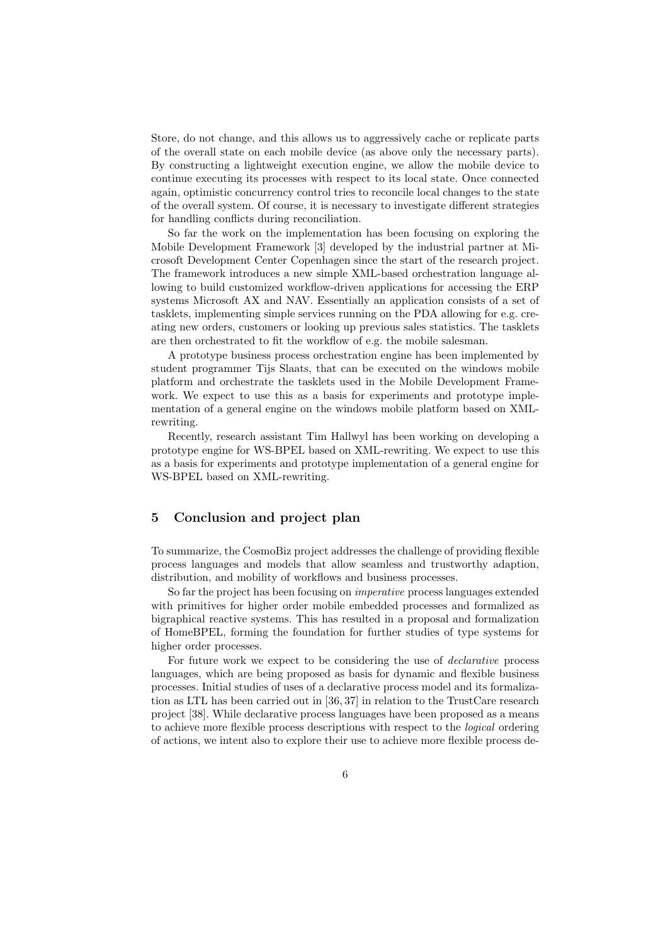Store, do not change, and this allows us to aggressively cache or replicate parts of the overall state on each mobile device (as above only the necessary parts). By constructing a lightweight execution engine, we allow the mobile device to continue executing its processes with respect to its local state. Once connected again, optimistic concurrency control tries to reconcile local changes to the state of the overall system. Of course, it is necessary to investigate different strategies for handling conflicts during reconciliation.

So far the work on the implementation has been focusing on exploring the Mobile Development Framework [3] developed by the industrial partner at Microsoft Development Center Copenhagen since the start of the research project. The framework introduces a new simple XML-based orchestration language allowing to build customized workflow-driven applications for accessing the ERP systems Microsoft AX and NAV. Essentially an application consists of a set of tasklets, implementing simple services running on the PDA allowing for e.g. creating new orders, customers or looking up previous sales statistics. The tasklets are then orchestrated to fit the workflow of e.g. the mobile salesman.

A prototype business process orchestration engine has been implemented by student programmer Tijs Slaats, that can be executed on the windows mobile platform and orchestrate the tasklets used in the Mobile Development Framework. We expect to use this as a basis for experiments and prototype implementation of a general engine on the windows mobile platform based on XMLrewriting.

Recently, research assistant Tim Hallwyl has been working on developing a prototype engine for WS-BPEL based on XML-rewriting. We expect to use this as a basis for experiments and prototype implementation of a general engine for WS-BPEL based on XML-rewriting.

# 5 Conclusion and project plan

To summarize, the CosmoBiz project addresses the challenge of providing flexible process languages and models that allow seamless and trustworthy adaption, distribution, and mobility of workflows and business processes.

So far the project has been focusing on imperative process languages extended with primitives for higher order mobile embedded processes and formalized as bigraphical reactive systems. This has resulted in a proposal and formalization of HomeBPEL, forming the foundation for further studies of type systems for higher order processes.

For future work we expect to be considering the use of declarative process languages, which are being proposed as basis for dynamic and flexible business processes. Initial studies of uses of a declarative process model and its formalization as LTL has been carried out in [36, 37] in relation to the TrustCare research project [38]. While declarative process languages have been proposed as a means to achieve more flexible process descriptions with respect to the logical ordering of actions, we intent also to explore their use to achieve more flexible process de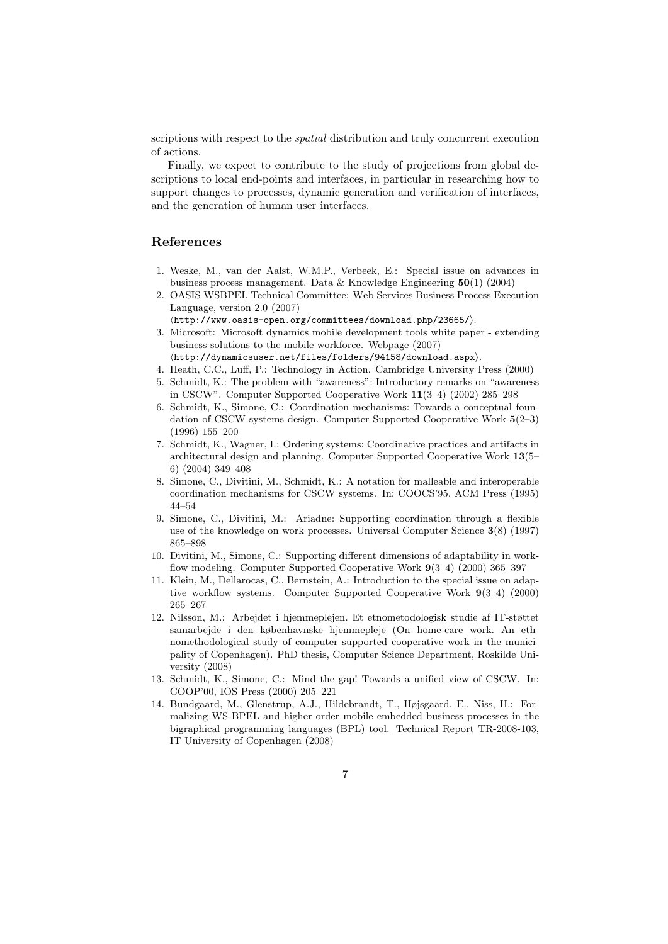scriptions with respect to the *spatial* distribution and truly concurrent execution of actions.

Finally, we expect to contribute to the study of projections from global descriptions to local end-points and interfaces, in particular in researching how to support changes to processes, dynamic generation and verification of interfaces, and the generation of human user interfaces.

## References

- 1. Weske, M., van der Aalst, W.M.P., Verbeek, E.: Special issue on advances in business process management. Data  $&$  Knowledge Engineering  $50(1)$  (2004)
- 2. OASIS WSBPEL Technical Committee: Web Services Business Process Execution Language, version 2.0 (2007)
	- $\langle$ http://www.oasis-open.org/committees/download.php/23665/ $\rangle$ .
- 3. Microsoft: Microsoft dynamics mobile development tools white paper extending business solutions to the mobile workforce. Webpage (2007)  $\langle \text{http://dynamicsuser.net/files/folders/94158/download.argv}\rangle.$
- 4. Heath, C.C., Luff, P.: Technology in Action. Cambridge University Press (2000)
- 5. Schmidt, K.: The problem with "awareness": Introductory remarks on "awareness
- in CSCW". Computer Supported Cooperative Work 11(3–4) (2002) 285–298
- 6. Schmidt, K., Simone, C.: Coordination mechanisms: Towards a conceptual foundation of CSCW systems design. Computer Supported Cooperative Work 5(2–3) (1996) 155–200
- 7. Schmidt, K., Wagner, I.: Ordering systems: Coordinative practices and artifacts in architectural design and planning. Computer Supported Cooperative Work 13(5– 6) (2004) 349–408
- 8. Simone, C., Divitini, M., Schmidt, K.: A notation for malleable and interoperable coordination mechanisms for CSCW systems. In: COOCS'95, ACM Press (1995) 44–54
- 9. Simone, C., Divitini, M.: Ariadne: Supporting coordination through a flexible use of the knowledge on work processes. Universal Computer Science 3(8) (1997) 865–898
- 10. Divitini, M., Simone, C.: Supporting different dimensions of adaptability in workflow modeling. Computer Supported Cooperative Work 9(3–4) (2000) 365–397
- 11. Klein, M., Dellarocas, C., Bernstein, A.: Introduction to the special issue on adaptive workflow systems. Computer Supported Cooperative Work 9(3–4) (2000) 265–267
- 12. Nilsson, M.: Arbejdet i hjemmeplejen. Et etnometodologisk studie af IT-støttet samarbejde i den københavnske hjemmepleje (On home-care work. An ethnomethodological study of computer supported cooperative work in the municipality of Copenhagen). PhD thesis, Computer Science Department, Roskilde University (2008)
- 13. Schmidt, K., Simone, C.: Mind the gap! Towards a unified view of CSCW. In: COOP'00, IOS Press (2000) 205–221
- 14. Bundgaard, M., Glenstrup, A.J., Hildebrandt, T., Højsgaard, E., Niss, H.: Formalizing WS-BPEL and higher order mobile embedded business processes in the bigraphical programming languages (BPL) tool. Technical Report TR-2008-103, IT University of Copenhagen (2008)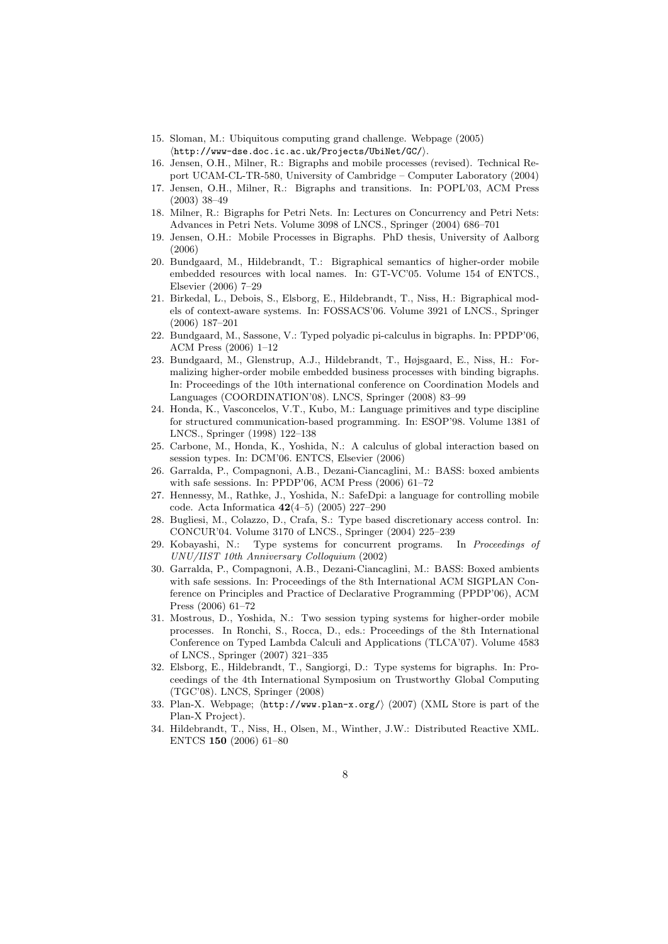- 15. Sloman, M.: Ubiquitous computing grand challenge. Webpage (2005)  $\langle$ http://www-dse.doc.ic.ac.uk/Projects/UbiNet/GC/ $\rangle$ .
- 16. Jensen, O.H., Milner, R.: Bigraphs and mobile processes (revised). Technical Report UCAM-CL-TR-580, University of Cambridge – Computer Laboratory (2004)
- 17. Jensen, O.H., Milner, R.: Bigraphs and transitions. In: POPL'03, ACM Press (2003) 38–49
- 18. Milner, R.: Bigraphs for Petri Nets. In: Lectures on Concurrency and Petri Nets: Advances in Petri Nets. Volume 3098 of LNCS., Springer (2004) 686–701
- 19. Jensen, O.H.: Mobile Processes in Bigraphs. PhD thesis, University of Aalborg (2006)
- 20. Bundgaard, M., Hildebrandt, T.: Bigraphical semantics of higher-order mobile embedded resources with local names. In: GT-VC'05. Volume 154 of ENTCS., Elsevier (2006) 7–29
- 21. Birkedal, L., Debois, S., Elsborg, E., Hildebrandt, T., Niss, H.: Bigraphical models of context-aware systems. In: FOSSACS'06. Volume 3921 of LNCS., Springer (2006) 187–201
- 22. Bundgaard, M., Sassone, V.: Typed polyadic pi-calculus in bigraphs. In: PPDP'06, ACM Press (2006) 1–12
- 23. Bundgaard, M., Glenstrup, A.J., Hildebrandt, T., Højsgaard, E., Niss, H.: Formalizing higher-order mobile embedded business processes with binding bigraphs. In: Proceedings of the 10th international conference on Coordination Models and Languages (COORDINATION'08). LNCS, Springer (2008) 83–99
- 24. Honda, K., Vasconcelos, V.T., Kubo, M.: Language primitives and type discipline for structured communication-based programming. In: ESOP'98. Volume 1381 of LNCS., Springer (1998) 122–138
- 25. Carbone, M., Honda, K., Yoshida, N.: A calculus of global interaction based on session types. In: DCM'06. ENTCS, Elsevier (2006)
- 26. Garralda, P., Compagnoni, A.B., Dezani-Ciancaglini, M.: BASS: boxed ambients with safe sessions. In: PPDP'06, ACM Press (2006) 61–72
- 27. Hennessy, M., Rathke, J., Yoshida, N.: SafeDpi: a language for controlling mobile code. Acta Informatica 42(4–5) (2005) 227–290
- 28. Bugliesi, M., Colazzo, D., Crafa, S.: Type based discretionary access control. In: CONCUR'04. Volume 3170 of LNCS., Springer (2004) 225–239
- 29. Kobayashi, N.: Type systems for concurrent programs. In Proceedings of UNU/IIST 10th Anniversary Colloquium (2002)
- 30. Garralda, P., Compagnoni, A.B., Dezani-Ciancaglini, M.: BASS: Boxed ambients with safe sessions. In: Proceedings of the 8th International ACM SIGPLAN Conference on Principles and Practice of Declarative Programming (PPDP'06), ACM Press (2006) 61–72
- 31. Mostrous, D., Yoshida, N.: Two session typing systems for higher-order mobile processes. In Ronchi, S., Rocca, D., eds.: Proceedings of the 8th International Conference on Typed Lambda Calculi and Applications (TLCA'07). Volume 4583 of LNCS., Springer (2007) 321–335
- 32. Elsborg, E., Hildebrandt, T., Sangiorgi, D.: Type systems for bigraphs. In: Proceedings of the 4th International Symposium on Trustworthy Global Computing (TGC'08). LNCS, Springer (2008)
- 33. Plan-X. Webpage;  $\langle \text{http://www.plan-x.org/}(2007)$  (XML Store is part of the Plan-X Project).
- 34. Hildebrandt, T., Niss, H., Olsen, M., Winther, J.W.: Distributed Reactive XML. ENTCS 150 (2006) 61–80